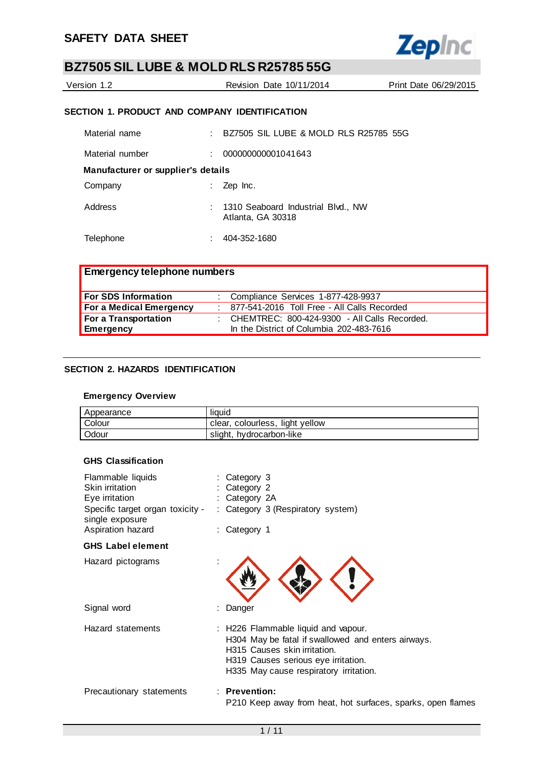

| Version 1.2 | Revision Date 10/11/2014 | Print Date 06/29/2015 |
|-------------|--------------------------|-----------------------|
|             |                          |                       |

# **SECTION 1. PRODUCT AND COMPANY IDENTIFICATION**

| Material name                      | BZ7505 SIL LUBE & MOLD RLS R25785 55G                     |
|------------------------------------|-----------------------------------------------------------|
| Material number                    | 000000000001041643                                        |
| Manufacturer or supplier's details |                                                           |
| Company                            | Zep Inc.                                                  |
| Address                            | : 1310 Seaboard Industrial Blvd., NW<br>Atlanta, GA 30318 |
| Telephone                          | 404-352-1680                                              |

| Emergency telephone numbers |                                                |
|-----------------------------|------------------------------------------------|
| For SDS Information         | : Compliance Services 1-877-428-9937           |
| For a Medical Emergency     | : 877-541-2016 Toll Free - All Calls Recorded  |
| For a Transportation        | : CHEMTREC: 800-424-9300 - All Calls Recorded. |
| <b>Emergency</b>            | In the District of Columbia 202-483-7616       |

# **SECTION 2. HAZARDS IDENTIFICATION**

## **Emergency Overview**

| Appearance | liauid                          |
|------------|---------------------------------|
| Colour     | clear, colourless, light yellow |
| Odour      | slight, hydrocarbon-like        |

## **GHS Classification**

| Flammable liquids<br>Skin irritation<br>Eye irritation<br>Specific target organ toxicity -<br>single exposure | Category 3<br>Category 2<br>: Category 2A<br>: Category 3 (Respiratory system)                                                                                                                             |
|---------------------------------------------------------------------------------------------------------------|------------------------------------------------------------------------------------------------------------------------------------------------------------------------------------------------------------|
| Aspiration hazard                                                                                             | : Category 1                                                                                                                                                                                               |
| <b>GHS Label element</b>                                                                                      |                                                                                                                                                                                                            |
| Hazard pictograms                                                                                             |                                                                                                                                                                                                            |
| Signal word                                                                                                   | Danger                                                                                                                                                                                                     |
| Hazard statements                                                                                             | : H226 Flammable liquid and vapour.<br>H304 May be fatal if swallowed and enters airways.<br>H315 Causes skin irritation.<br>H319 Causes serious eye irritation.<br>H335 May cause respiratory irritation. |
| Precautionary statements                                                                                      | $:$ Prevention:<br>P210 Keep away from heat, hot surfaces, sparks, open flames                                                                                                                             |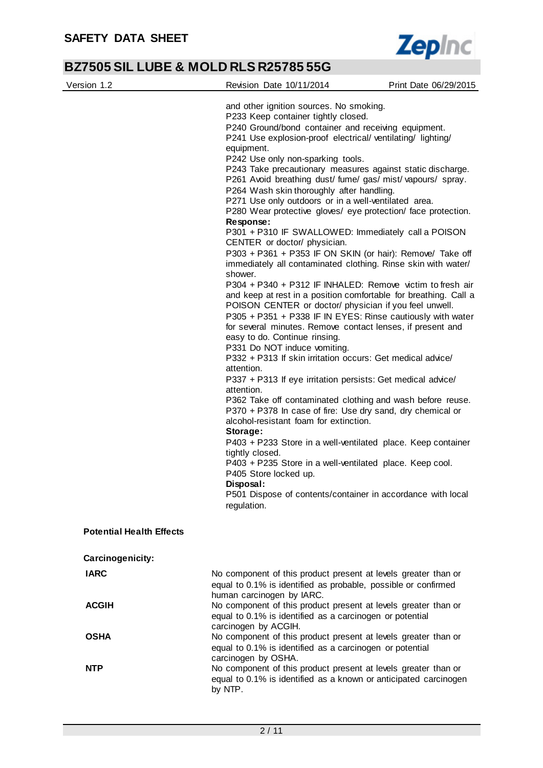

| Version 1.2                     | Revision Date 10/11/2014                                                                                                                                                                                                                                                                                                                                                                                                                                                                                                                                                                                                                                                                                                                                                                                                                                                                                                                                                                                                                                                                                                                                                                                                                                                                                                                                                                                                                                                                                                                                                                                                                                                                                                                                                                                    | Print Date 06/29/2015 |
|---------------------------------|-------------------------------------------------------------------------------------------------------------------------------------------------------------------------------------------------------------------------------------------------------------------------------------------------------------------------------------------------------------------------------------------------------------------------------------------------------------------------------------------------------------------------------------------------------------------------------------------------------------------------------------------------------------------------------------------------------------------------------------------------------------------------------------------------------------------------------------------------------------------------------------------------------------------------------------------------------------------------------------------------------------------------------------------------------------------------------------------------------------------------------------------------------------------------------------------------------------------------------------------------------------------------------------------------------------------------------------------------------------------------------------------------------------------------------------------------------------------------------------------------------------------------------------------------------------------------------------------------------------------------------------------------------------------------------------------------------------------------------------------------------------------------------------------------------------|-----------------------|
| <b>Potential Health Effects</b> | and other ignition sources. No smoking.<br>P233 Keep container tightly closed.<br>P240 Ground/bond container and receiving equipment.<br>P241 Use explosion-proof electrical/ventilating/lighting/<br>equipment.<br>P242 Use only non-sparking tools.<br>P243 Take precautionary measures against static discharge.<br>P261 Avoid breathing dust/ fume/ gas/ mist/ vapours/ spray.<br>P264 Wash skin thoroughly after handling.<br>P271 Use only outdoors or in a well-ventilated area.<br>P280 Wear protective gloves/ eye protection/ face protection.<br>Response:<br>P301 + P310 IF SWALLOWED: Immediately call a POISON<br>CENTER or doctor/ physician.<br>P303 + P361 + P353 IF ON SKIN (or hair): Remove/ Take off<br>immediately all contaminated clothing. Rinse skin with water/<br>shower.<br>P304 + P340 + P312 IF INHALED: Remove victim to fresh air<br>and keep at rest in a position comfortable for breathing. Call a<br>POISON CENTER or doctor/ physician if you feel unwell.<br>P305 + P351 + P338 IF IN EYES: Rinse cautiously with water<br>for several minutes. Remove contact lenses, if present and<br>easy to do. Continue rinsing.<br>P331 Do NOT induce vomiting.<br>P332 + P313 If skin irritation occurs: Get medical advice/<br>attention.<br>P337 + P313 If eye irritation persists: Get medical advice/<br>attention.<br>P362 Take off contaminated clothing and wash before reuse.<br>P370 + P378 In case of fire: Use dry sand, dry chemical or<br>alcohol-resistant foam for extinction.<br>Storage:<br>P403 + P233 Store in a well-ventilated place. Keep container<br>tightly closed.<br>P403 + P235 Store in a well-ventilated place. Keep cool.<br>P405 Store locked up.<br>Disposal:<br>P501 Dispose of contents/container in accordance with local<br>regulation. |                       |
| Carcinogenicity:                |                                                                                                                                                                                                                                                                                                                                                                                                                                                                                                                                                                                                                                                                                                                                                                                                                                                                                                                                                                                                                                                                                                                                                                                                                                                                                                                                                                                                                                                                                                                                                                                                                                                                                                                                                                                                             |                       |
| <b>IARC</b>                     | No component of this product present at levels greater than or                                                                                                                                                                                                                                                                                                                                                                                                                                                                                                                                                                                                                                                                                                                                                                                                                                                                                                                                                                                                                                                                                                                                                                                                                                                                                                                                                                                                                                                                                                                                                                                                                                                                                                                                              |                       |
|                                 | equal to 0.1% is identified as probable, possible or confirmed                                                                                                                                                                                                                                                                                                                                                                                                                                                                                                                                                                                                                                                                                                                                                                                                                                                                                                                                                                                                                                                                                                                                                                                                                                                                                                                                                                                                                                                                                                                                                                                                                                                                                                                                              |                       |
| <b>ACGIH</b>                    | human carcinogen by IARC.<br>No component of this product present at levels greater than or<br>equal to 0.1% is identified as a carcinogen or potential<br>carcinogen by ACGIH.                                                                                                                                                                                                                                                                                                                                                                                                                                                                                                                                                                                                                                                                                                                                                                                                                                                                                                                                                                                                                                                                                                                                                                                                                                                                                                                                                                                                                                                                                                                                                                                                                             |                       |
| <b>OSHA</b>                     | No component of this product present at levels greater than or<br>equal to 0.1% is identified as a carcinogen or potential<br>carcinogen by OSHA.                                                                                                                                                                                                                                                                                                                                                                                                                                                                                                                                                                                                                                                                                                                                                                                                                                                                                                                                                                                                                                                                                                                                                                                                                                                                                                                                                                                                                                                                                                                                                                                                                                                           |                       |
| <b>NTP</b>                      | No component of this product present at levels greater than or<br>equal to 0.1% is identified as a known or anticipated carcinogen<br>by NTP.                                                                                                                                                                                                                                                                                                                                                                                                                                                                                                                                                                                                                                                                                                                                                                                                                                                                                                                                                                                                                                                                                                                                                                                                                                                                                                                                                                                                                                                                                                                                                                                                                                                               |                       |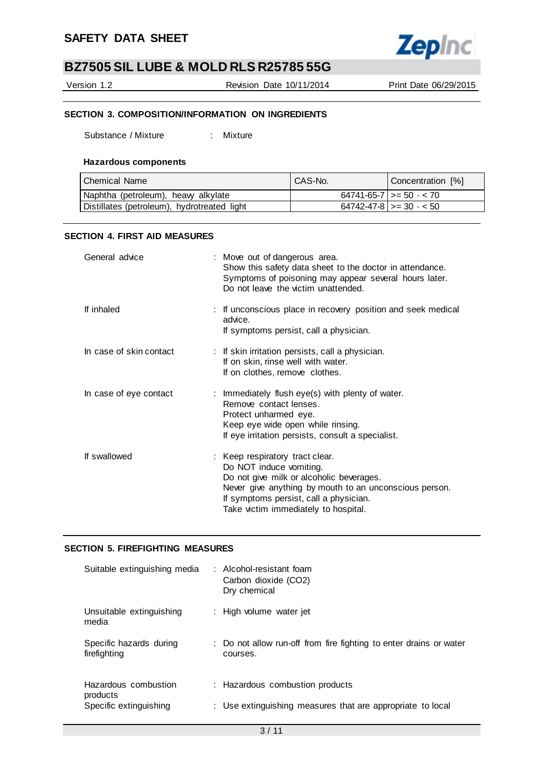

Version 1.2 Revision Date 10/11/2014 Print Date 06/29/2015

# **SECTION 3. COMPOSITION/INFORMATION ON INGREDIENTS**

Substance / Mixture : Mixture

### **Hazardous components**

| Chemical Name                               | CAS-No. | Concentration [%]                 |
|---------------------------------------------|---------|-----------------------------------|
| Naphtha (petroleum), heavy alkylate         |         | $64741 - 65 - 7$   >= 50 - < 70   |
| Distillates (petroleum), hydrotreated light |         | $64742 - 47 - 8$ $\geq$ 30 - < 50 |

## **SECTION 4. FIRST AID MEASURES**

| General advice          | : Move out of dangerous area.<br>Show this safety data sheet to the doctor in attendance.<br>Symptoms of poisoning may appear several hours later.<br>Do not leave the victim unattended.                                                          |
|-------------------------|----------------------------------------------------------------------------------------------------------------------------------------------------------------------------------------------------------------------------------------------------|
| If inhaled              | : If unconscious place in recovery position and seek medical<br>advice.<br>If symptoms persist, call a physician.                                                                                                                                  |
| In case of skin contact | : If skin irritation persists, call a physician.<br>If on skin, rinse well with water.<br>If on clothes, remove clothes.                                                                                                                           |
| In case of eye contact  | : Immediately flush eye(s) with plenty of water.<br>Remove contact lenses.<br>Protect unharmed eye.<br>Keep eye wide open while rinsing.<br>If eye irritation persists, consult a specialist.                                                      |
| If swallowed            | : Keep respiratory tract clear.<br>Do NOT induce vomiting.<br>Do not give milk or alcoholic beverages.<br>Never give anything by mouth to an unconscious person.<br>If symptoms persist, call a physician.<br>Take victim immediately to hospital. |

### **SECTION 5. FIREFIGHTING MEASURES**

| Suitable extinguishing media            | : Alcohol-resistant foam<br>Carbon dioxide (CO2)<br>Dry chemical               |
|-----------------------------------------|--------------------------------------------------------------------------------|
| Unsuitable extinguishing<br>media       | : High volume water jet                                                        |
| Specific hazards during<br>firefighting | : Do not allow run-off from fire fighting to enter drains or water<br>courses. |
| Hazardous combustion<br>products        | : Hazardous combustion products                                                |
| Specific extinguishing                  | : Use extinguishing measures that are appropriate to local                     |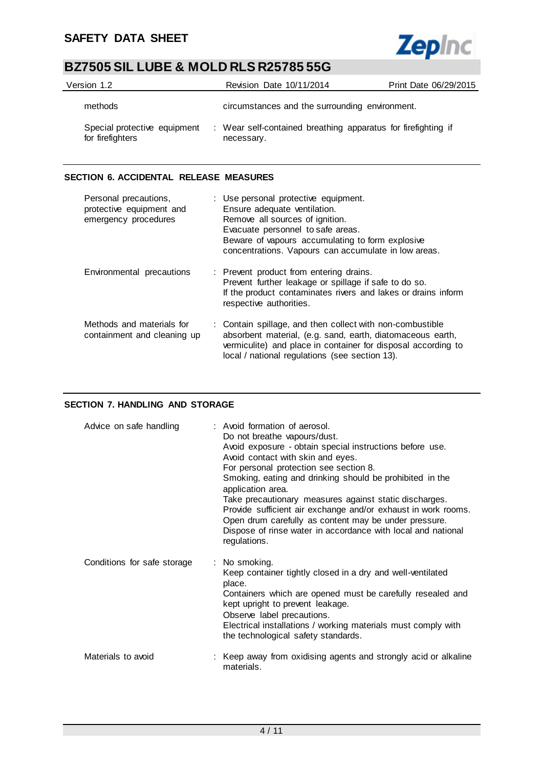

| Version 1.2                                      | Revision Date 10/11/2014                                                    | Print Date 06/29/2015 |
|--------------------------------------------------|-----------------------------------------------------------------------------|-----------------------|
| methods                                          | circumstances and the surrounding environment.                              |                       |
| Special protective equipment<br>for firefighters | : Wear self-contained breathing apparatus for firefighting if<br>necessary. |                       |

# **SECTION 6. ACCIDENTAL RELEASE MEASURES**

| Personal precautions,<br>protective equipment and<br>emergency procedures | : Use personal protective equipment.<br>Ensure adequate ventilation.<br>Remove all sources of ignition.<br>Evacuate personnel to safe areas.<br>Beware of vapours accumulating to form explosive<br>concentrations. Vapours can accumulate in low areas. |
|---------------------------------------------------------------------------|----------------------------------------------------------------------------------------------------------------------------------------------------------------------------------------------------------------------------------------------------------|
| Environmental precautions                                                 | : Prevent product from entering drains.<br>Prevent further leakage or spillage if safe to do so.<br>If the product contaminates rivers and lakes or drains inform<br>respective authorities.                                                             |
| Methods and materials for<br>containment and cleaning up                  | : Contain spillage, and then collect with non-combustible<br>absorbent material, (e.g. sand, earth, diatomaceous earth,<br>vermiculite) and place in container for disposal according to<br>local / national regulations (see section 13).               |

# **SECTION 7. HANDLING AND STORAGE**

| Advice on safe handling     | : Avoid formation of aerosol.<br>Do not breathe vapours/dust.<br>Avoid exposure - obtain special instructions before use.<br>Avoid contact with skin and eyes.<br>For personal protection see section 8.<br>Smoking, eating and drinking should be prohibited in the<br>application area.<br>Take precautionary measures against static discharges.<br>Provide sufficient air exchange and/or exhaust in work rooms.<br>Open drum carefully as content may be under pressure.<br>Dispose of rinse water in accordance with local and national<br>regulations. |
|-----------------------------|---------------------------------------------------------------------------------------------------------------------------------------------------------------------------------------------------------------------------------------------------------------------------------------------------------------------------------------------------------------------------------------------------------------------------------------------------------------------------------------------------------------------------------------------------------------|
| Conditions for safe storage | : No smoking.<br>Keep container tightly closed in a dry and well-ventilated<br>place.<br>Containers which are opened must be carefully resealed and<br>kept upright to prevent leakage.<br>Observe label precautions.<br>Electrical installations / working materials must comply with<br>the technological safety standards.                                                                                                                                                                                                                                 |
| Materials to avoid          | : Keep away from oxidising agents and strongly acid or alkaline<br>materials.                                                                                                                                                                                                                                                                                                                                                                                                                                                                                 |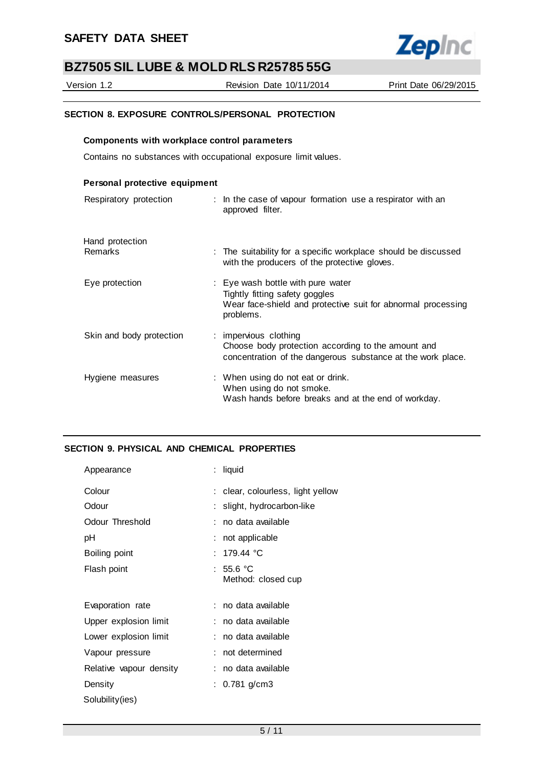

Version 1.2 Revision Date 10/11/2014 Print Date 06/29/2015

# **SECTION 8. EXPOSURE CONTROLS/PERSONAL PROTECTION**

## **Components with workplace control parameters**

Contains no substances with occupational exposure limit values.

| Personal protective equipment     |                                                                                                                                                  |
|-----------------------------------|--------------------------------------------------------------------------------------------------------------------------------------------------|
| Respiratory protection            | : In the case of vapour formation use a respirator with an<br>approved filter.                                                                   |
| Hand protection<br><b>Remarks</b> | : The suitability for a specific workplace should be discussed<br>with the producers of the protective gloves.                                   |
| Eye protection                    | : Eye wash bottle with pure water<br>Tightly fitting safety goggles<br>Wear face-shield and protective suit for abnormal processing<br>problems. |
| Skin and body protection          | : impervious clothing<br>Choose body protection according to the amount and<br>concentration of the dangerous substance at the work place.       |
| Hygiene measures                  | : When using do not eat or drink.<br>When using do not smoke.<br>Wash hands before breaks and at the end of workday.                             |

## **SECTION 9. PHYSICAL AND CHEMICAL PROPERTIES**

| Appearance              | : liquid                          |
|-------------------------|-----------------------------------|
| Colour                  | : clear, colourless, light yellow |
| Odour                   | : slight, hydrocarbon-like        |
| Odour Threshold         | : no data available               |
| рH                      | : not applicable                  |
| Boiling point           | : 179.44 °C                       |
| Flash point             | : 55.6 °C<br>Method: closed cup   |
| Evaporation rate        | : no data available               |
| Upper explosion limit   | : no data available               |
| Lower explosion limit   | : no data available               |
| Vapour pressure         | : not determined                  |
| Relative vapour density | : no data available               |
| Density                 | : 0.781 g/cm3                     |
| Solubility(ies)         |                                   |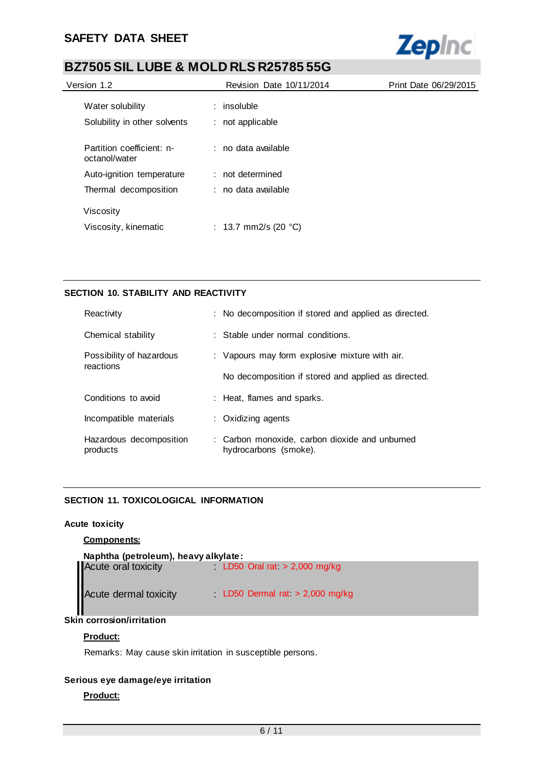# **SAFETY DATA SHEET**



# **BZ7505 SIL LUBE & MOLD RLS R25785 55G**

| Version 1.2                                | Revision Date 10/11/2014       | Print Date 06/29/2015 |  |
|--------------------------------------------|--------------------------------|-----------------------|--|
| Water solubility                           | $:$ insoluble                  |                       |  |
| Solubility in other solvents               | : not applicable               |                       |  |
| Partition coefficient: n-<br>octanol/water | ∴ no data available.           |                       |  |
| Auto-ignition temperature                  | : not determined               |                       |  |
| Thermal decomposition                      | : no data available            |                       |  |
| Viscosity                                  |                                |                       |  |
| Viscosity, kinematic                       | : 13.7 mm2/s (20 $^{\circ}$ C) |                       |  |

# **SECTION 10. STABILITY AND REACTIVITY**

| Reactivity                            | : No decomposition if stored and applied as directed.                   |
|---------------------------------------|-------------------------------------------------------------------------|
| Chemical stability                    | $\therefore$ Stable under normal conditions.                            |
| Possibility of hazardous<br>reactions | : Vapours may form explosive mixture with air.                          |
|                                       | No decomposition if stored and applied as directed.                     |
| Conditions to avoid                   | : Heat, flames and sparks.                                              |
| Incompatible materials                | : Oxidizing agents                                                      |
| Hazardous decomposition<br>products   | : Carbon monoxide, carbon dioxide and unburned<br>hydrocarbons (smoke). |

# **SECTION 11. TOXICOLOGICAL INFORMATION**

## **Acute toxicity**

# **Components:**

| Naphtha (petroleum), heavy alkylate: |                                 |  |  |  |  |
|--------------------------------------|---------------------------------|--|--|--|--|
| Acute oral toxicity                  | LD50 Oral rat $> 2,000$ mg/kg   |  |  |  |  |
| Acute dermal toxicity                | LD50 Dermal rat $> 2,000$ mg/kg |  |  |  |  |

# **Skin corrosion/irritation**

# **Product:**

Remarks: May cause skin irritation in susceptible persons.

# **Serious eye damage/eye irritation**

# **Product:**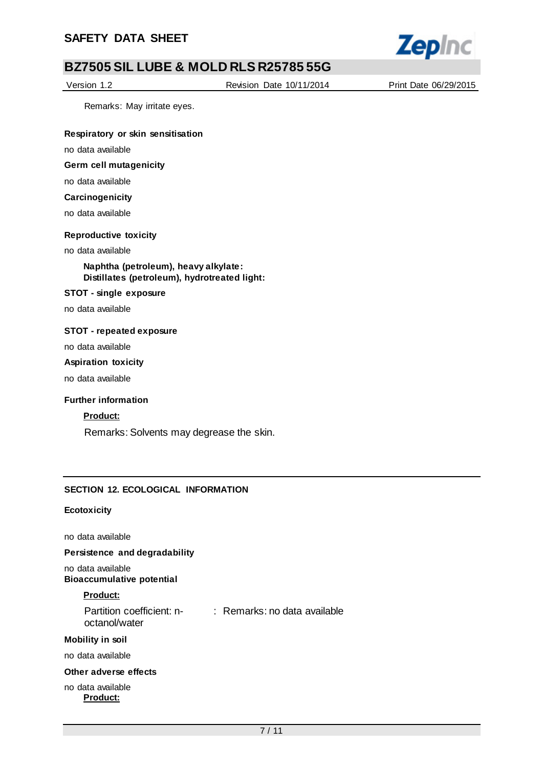

Version 1.2 Revision Date 10/11/2014 Print Date 06/29/2015

Remarks: May irritate eyes.

## **Respiratory or skin sensitisation**

no data available

# **Germ cell mutagenicity**

no data available

## **Carcinogenicity**

no data available

### **Reproductive toxicity**

#### no data available

**Naphtha (petroleum), heavy alkylate: Distillates (petroleum), hydrotreated light:**

#### **STOT - single exposure**

no data available

### **STOT - repeated exposure**

no data available

#### **Aspiration toxicity**

no data available

### **Further information**

## **Product:**

Remarks: Solvents may degrease the skin.

### **SECTION 12. ECOLOGICAL INFORMATION**

#### **Ecotoxicity**

no data available

### **Persistence and degradability**

no data available **Bioaccumulative potential**

### **Product:**

| Partition coefficient: n- | : Remarks: no data available |
|---------------------------|------------------------------|
| octanol/water             |                              |

#### **Mobility in soil**

no data available

## **Other adverse effects**

### no data available **Product:**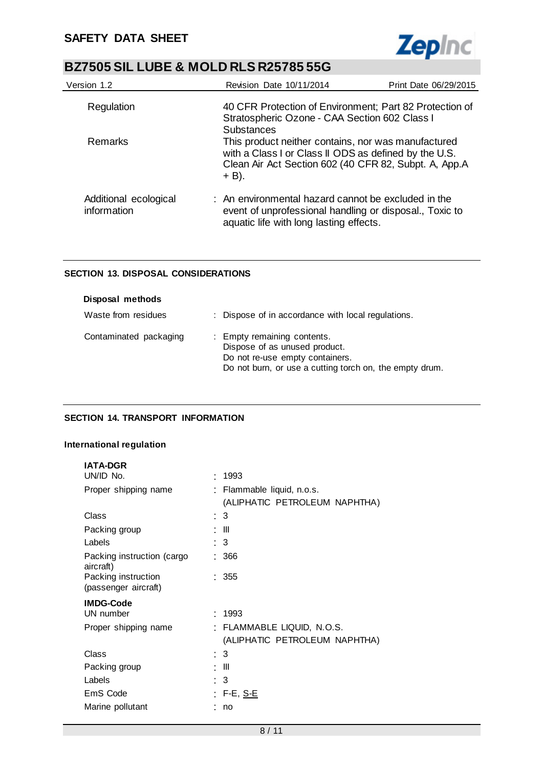

| Version 1.2                          | Revision Date 10/11/2014                                                                                                                                                         | Print Date 06/29/2015 |
|--------------------------------------|----------------------------------------------------------------------------------------------------------------------------------------------------------------------------------|-----------------------|
| Regulation                           | 40 CFR Protection of Environment; Part 82 Protection of<br>Stratospheric Ozone - CAA Section 602 Class I<br><b>Substances</b>                                                    |                       |
| Remarks                              | This product neither contains, nor was manufactured<br>with a Class I or Class II ODS as defined by the U.S.<br>Clean Air Act Section 602 (40 CFR 82, Subpt. A, App.A<br>$+$ B). |                       |
| Additional ecological<br>information | : An environmental hazard cannot be excluded in the<br>event of unprofessional handling or disposal., Toxic to<br>aquatic life with long lasting effects.                        |                       |

# **SECTION 13. DISPOSAL CONSIDERATIONS**

| Disposal methods       |                                                                                                                                                            |
|------------------------|------------------------------------------------------------------------------------------------------------------------------------------------------------|
| Waste from residues    | : Dispose of in accordance with local regulations.                                                                                                         |
| Contaminated packaging | : Empty remaining contents.<br>Dispose of as unused product.<br>Do not re-use empty containers.<br>Do not burn, or use a cutting torch on, the empty drum. |

# **SECTION 14. TRANSPORT INFORMATION**

## **International regulation**

| <b>IATA-DGR</b>                             |   |                                                           |
|---------------------------------------------|---|-----------------------------------------------------------|
| UN/ID No.                                   |   | 1993                                                      |
| Proper shipping name                        |   | Flammable liquid, n.o.s.<br>(ALIPHATIC PETROLEUM NAPHTHA) |
| Class                                       | ÷ | 3                                                         |
| Packing group                               |   | Ш                                                         |
| Labels                                      |   | 3                                                         |
| Packing instruction (cargo<br>aircraft)     |   | 366                                                       |
| Packing instruction<br>(passenger aircraft) |   | : 355                                                     |
| <b>IMDG-Code</b>                            |   |                                                           |
| UN number                                   |   | 1993                                                      |
| Proper shipping name                        |   | FLAMMABLE LIQUID, N.O.S.<br>(ALIPHATIC PETROLEUM NAPHTHA) |
| Class                                       | ٠ | 3                                                         |
| Packing group                               |   | Ш                                                         |
| Labels                                      |   | 3                                                         |
| EmS Code                                    |   | F-E, <u>S-E</u>                                           |
| Marine pollutant                            |   | no                                                        |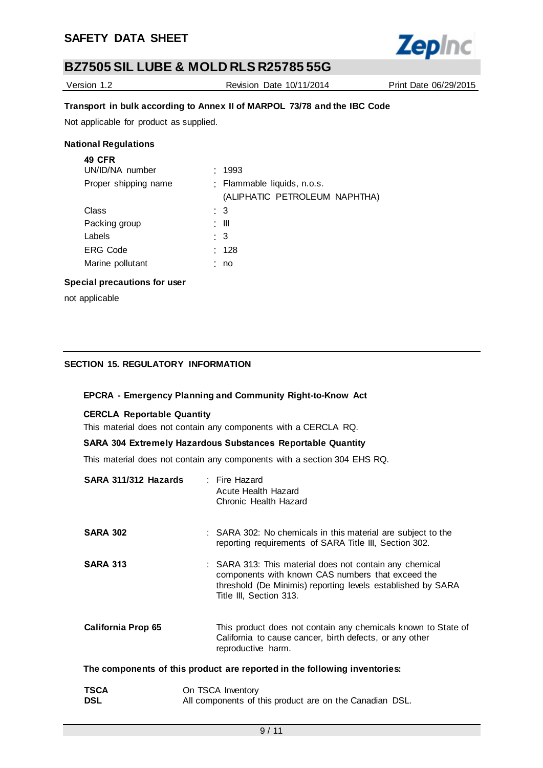

Version 1.2 Revision Date 10/11/2014 Print Date 06/29/2015

# **Transport in bulk according to Annex II of MARPOL 73/78 and the IBC Code**

Not applicable for product as supplied.

## **National Regulations**

| <b>49 CFR</b>        |                               |
|----------------------|-------------------------------|
| UN/ID/NA number      | : 1993                        |
| Proper shipping name | : Flammable liquids, n.o.s.   |
|                      | (ALIPHATIC PETROLEUM NAPHTHA) |
| Class                | : 3                           |
| Packing group        | : III                         |
| Labels               | : 3                           |
| <b>ERG Code</b>      | : 128                         |
| Marine pollutant     | no                            |
|                      |                               |

## **Special precautions for user**

not applicable

# **SECTION 15. REGULATORY INFORMATION**

# **EPCRA - Emergency Planning and Community Right-to-Know Act**

# **CERCLA Reportable Quantity**

This material does not contain any components with a CERCLA RQ.

# **SARA 304 Extremely Hazardous Substances Reportable Quantity**

This material does not contain any components with a section 304 EHS RQ.

| SARA 311/312 Hazards      | : Fire Hazard<br>Acute Health Hazard<br>Chronic Health Hazard                                                                                                                                          |
|---------------------------|--------------------------------------------------------------------------------------------------------------------------------------------------------------------------------------------------------|
| <b>SARA 302</b>           | : SARA 302: No chemicals in this material are subject to the<br>reporting requirements of SARA Title III, Section 302.                                                                                 |
| <b>SARA 313</b>           | : SARA 313: This material does not contain any chemical<br>components with known CAS numbers that exceed the<br>threshold (De Minimis) reporting levels established by SARA<br>Title III, Section 313. |
| <b>California Prop 65</b> | This product does not contain any chemicals known to State of<br>California to cause cancer, birth defects, or any other<br>reproductive harm.                                                         |
|                           | The components of this product are reported in the following inventories:                                                                                                                              |
| <b>TSCA</b><br><b>DSL</b> | On TSCA Inventory<br>All components of this product are on the Canadian DSL.                                                                                                                           |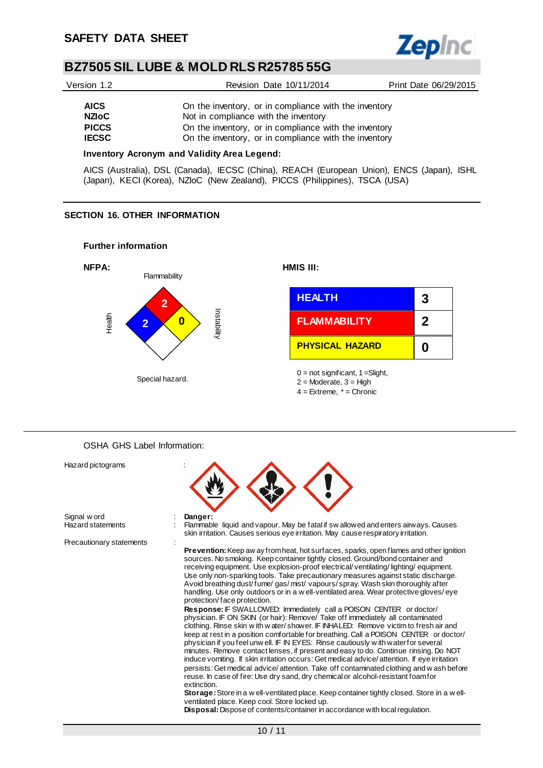$\overline{\phantom{a}}$ 



# **BZ7505 SIL LUBE & MOLD RLS R25785 55G**

| Version 1.2                  | Revision Date 10/11/2014                                                                                       | Print Date 06/29/2015 |
|------------------------------|----------------------------------------------------------------------------------------------------------------|-----------------------|
| <b>AICS</b>                  | On the inventory, or in compliance with the inventory                                                          |                       |
| <b>NZIoC</b>                 | Not in compliance with the inventory                                                                           |                       |
| <b>PICCS</b><br><b>IECSC</b> | On the inventory, or in compliance with the inventory<br>On the inventory, or in compliance with the inventory |                       |

#### **Inventory Acronym and Validity Area Legend:**

AICS (Australia), DSL (Canada), IECSC (China), REACH (European Union), ENCS (Japan), ISHL (Japan), KECI (Korea), NZIoC (New Zealand), PICCS (Philippines), TSCA (USA)

## **SECTION 16. OTHER INFORMATION**



### OSHA GHS Label Information:

| Hazard pictograms        |                                                                                                                                                                                                                                                                                                                                                                                                                                                                                                                                                                                                                                                                                                                                                                                                                 |
|--------------------------|-----------------------------------------------------------------------------------------------------------------------------------------------------------------------------------------------------------------------------------------------------------------------------------------------------------------------------------------------------------------------------------------------------------------------------------------------------------------------------------------------------------------------------------------------------------------------------------------------------------------------------------------------------------------------------------------------------------------------------------------------------------------------------------------------------------------|
| Signal w ord             | Danger:                                                                                                                                                                                                                                                                                                                                                                                                                                                                                                                                                                                                                                                                                                                                                                                                         |
| <b>Hazard statements</b> | Flammable liquid and vapour. May be fatal if swallowed and enters airways. Causes<br>skin irritation. Causes serious eye irritation. May cause respiratory irritation.                                                                                                                                                                                                                                                                                                                                                                                                                                                                                                                                                                                                                                          |
| Precautionary statements |                                                                                                                                                                                                                                                                                                                                                                                                                                                                                                                                                                                                                                                                                                                                                                                                                 |
|                          | <b>Prevention:</b> Keep aw ay from heat, hot surfaces, sparks, open flames and other ignition<br>sources. No smoking. Keep container tightly closed. Ground/bond container and<br>receiving equipment. Use explosion-proof electrical/ventilating/lighting/equipment.<br>Use only non-sparking tools. Take precautionary measures against static discharge.<br>Avoid breathing dust/fume/gas/mist/vapours/spray. Wash skin thoroughly after<br>handling. Use only outdoors or in a w ell-ventilated area. Wear protective gloves/eye<br>protection/face protection.                                                                                                                                                                                                                                             |
|                          | Response: IF SWALLOWED: Immediately call a POISON CENTER or doctor/<br>physician. IF ON SKIN (or hair): Remove/ Take off immediately all contaminated<br>clothing. Rinse skin w ith w ater/shower. IF INHALED: Remove victim to fresh air and<br>keep at rest in a position comfortable for breathing. Call a POISON CENTER or doctor/<br>physician if you feel unw ell. IF IN EYES: Rinse cautiously with water for several<br>minutes. Remove contact lenses, if present and easy to do. Continue rinsing. Do NOT<br>induce vomiting. If skin irritation occurs: Get medical advice/attention. If eye irritation<br>persists: Get medical advice/attention. Take off contaminated clothing and w ash before<br>reuse. In case of fire: Use dry sand, dry chemical or alcohol-resistant foamfor<br>extinction. |
|                          | Storage: Store in a w ell-ventilated place. Keep container tightly closed. Store in a w ell-<br>ventilated place. Keep cool. Store locked up.<br><b>Disposal:</b> Dispose of contents/container in accordance with local regulation.                                                                                                                                                                                                                                                                                                                                                                                                                                                                                                                                                                            |